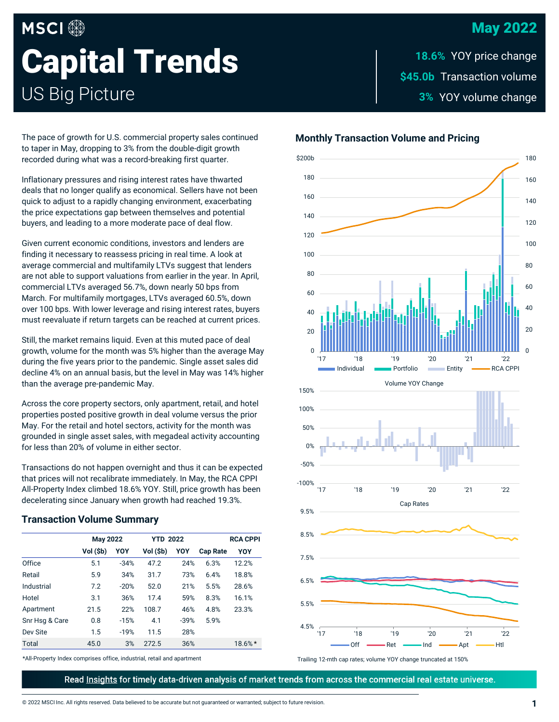## May 2022

# **MSCI Capital Trends** US Big Picture

\$45.0b Transaction volume **3% YOY volume change 18.6% YOY price change** 

The pace of growth for U.S. commercial property sales continued to taper in May, dropping to 3% from the double-digit growth recorded during what was a record-breaking first quarter.

Inflationary pressures and rising interest rates have thwarted deals that no longer qualify as economical. Sellers have not been quick to adjust to a rapidly changing environment, exacerbating the price expectations gap between themselves and potential buyers, and leading to a more moderate pace of deal flow.

Given current economic conditions, investors and lenders are finding it necessary to reassess pricing in real time. A look at average commercial and multifamily LTVs suggest that lenders are not able to support valuations from earlier in the year. In April, commercial LTVs averaged 56.7%, down nearly 50 bps from March. For multifamily mortgages, LTVs averaged 60.5%, down over 100 bps. With lower leverage and rising interest rates, buyers must reevaluate if return targets can be reached at current prices.

Still, the market remains liquid. Even at this muted pace of deal growth, volume for the month was 5% higher than the average May during the five years prior to the pandemic. Single asset sales did decline 4% on an annual basis, but the level in May was 14% higher than the average pre-pandemic May.

Across the core property sectors, only apartment, retail, and hotel properties posted positive growth in deal volume versus the prior May. For the retail and hotel sectors, activity for the month was grounded in single asset sales, with megadeal activity accounting for less than 20% of volume in either sector.

Transactions do not happen overnight and thus it can be expected that prices will not recalibrate immediately. In May, the RCA CPPI All-Property Index climbed 18.6% YOY. Still, price growth has been decelerating since January when growth had reached 19.3%.

#### **Transaction Volume Summary**

|                | <b>May 2022</b> |        | <b>YTD 2022</b> |        |                 | <b>RCA CPPI</b> |
|----------------|-----------------|--------|-----------------|--------|-----------------|-----------------|
|                | Vol (\$b)       | YOY    | Vol (\$b)       | YOY    | <b>Cap Rate</b> | YOY             |
| Office         | 5.1             | $-34%$ | 47.2            | 24%    | 6.3%            | 12.2%           |
| Retail         | 5.9             | 34%    | 31.7            | 73%    | 6.4%            | 18.8%           |
| Industrial     | 7.2             | $-20%$ | 52.0            | 21%    | 5.5%            | 28.6%           |
| Hotel          | 3.1             | 36%    | 17.4            | 59%    | 8.3%            | 16.1%           |
| Apartment      | 21.5            | 22%    | 108.7           | 46%    | 4.8%            | 23.3%           |
| Snr Hsq & Care | 0.8             | $-15%$ | 4.1             | $-39%$ | 5.9%            |                 |
| Dev Site       | 1.5             | $-19%$ | 11.5            | 28%    |                 |                 |
| <b>Total</b>   | 45.0            | 3%     | 272.5           | 36%    |                 | 18.6%*          |

\*All-Property Index comprises office, industrial, retail and apartment

**Monthly Transaction Volume and Pricing**



Trailing 12-mth cap rates; volume YOY change truncated at 150%

Read Insights for timely data-driven analysis of market trends from across the commercial real estate universe.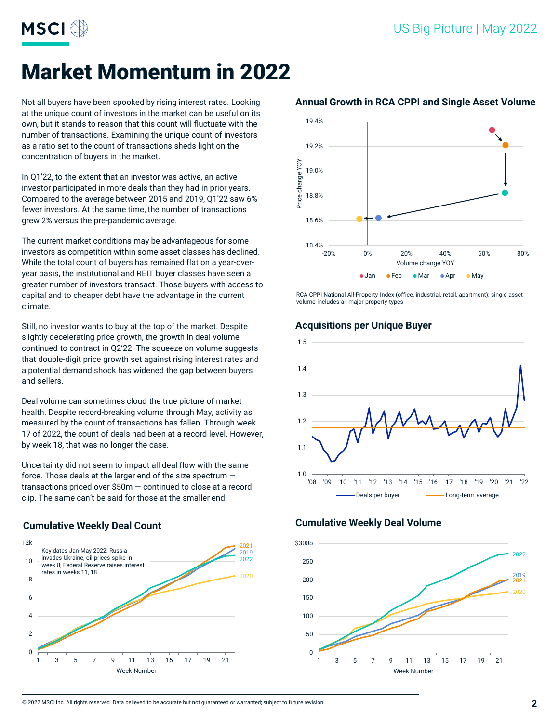

# Market Momentum in 2022

Not all buyers have been spooked by rising interest rates. Looking at the unique count of investors in the market can be useful on its own, but it stands to reason that this count will fluctuate with the number of transactions. Examining the unique count of investors as a ratio set to the count of transactions sheds light on the concentration of buyers in the market.

In Q1'22, to the extent that an investor was active, an active investor participated in more deals than they had in prior years. Compared to the average between 2015 and 2019, Q1'22 saw 6% fewer investors. At the same time, the number of transactions grew 2% versus the pre-pandemic average.

The current market conditions may be advantageous for some investors as competition within some asset classes has declined. While the total count of buyers has remained flat on a year-overyear basis, the institutional and REIT buyer classes have seen a greater number of investors transact. Those buyers with access to capital and to cheaper debt have the advantage in the current climate.

Still, no investor wants to buy at the top of the market. Despite slightly decelerating price growth, the growth in deal volume continued to contract in Q2'22. The squeeze on volume suggests that double-digit price growth set against rising interest rates and a potential demand shock has widened the gap between buyers and sellers.

Deal volume can sometimes cloud the true picture of market health. Despite record-breaking volume through May, activity as measured by the count of transactions has fallen. Through week 17 of 2022, the count of deals had been at a record level. However, by week 18, that was no longer the case.

Uncertainty did not seem to impact all deal flow with the same force. Those deals at the larger end of the size spectrum transactions priced over \$50m — continued to close at a record clip. The same can't be said for those at the smaller end.

#### **Cumulative Weekly Deal Count**





#### **Annual Growth in RCA CPPI and Single Asset Volume**

RCA CPPI National All-Property Index (office, industrial, retail, apartment); single asset volume includes all major property types

#### **Acquisitions per Unique Buyer**



#### **Cumulative Weekly Deal Volume**

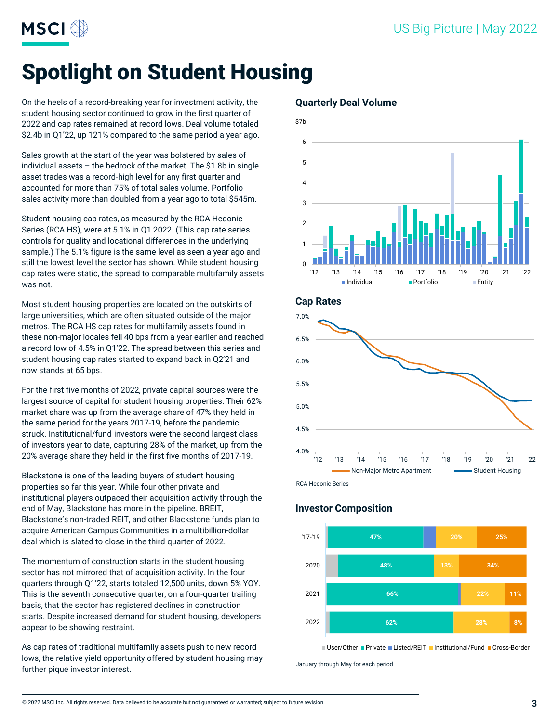

# Spotlight on Student Housing

On the heels of a record-breaking year for investment activity, the student housing sector continued to grow in the first quarter of 2022 and cap rates remained at record lows. Deal volume totaled \$2.4b in Q1'22, up 121% compared to the same period a year ago.

Sales growth at the start of the year was bolstered by sales of individual assets – the bedrock of the market. The \$1.8b in single asset trades was a record-high level for any first quarter and accounted for more than 75% of total sales volume. Portfolio sales activity more than doubled from a year ago to total \$545m.

Student housing cap rates, as measured by the RCA Hedonic Series (RCA HS), were at 5.1% in Q1 2022. (This cap rate series controls for quality and locational differences in the underlying sample.) The 5.1% figure is the same level as seen a year ago and still the lowest level the sector has shown. While student housing cap rates were static, the spread to comparable multifamily assets was not.

Most student housing properties are located on the outskirts of large universities, which are often situated outside of the major metros. The RCA HS cap rates for multifamily assets found in these non-major locales fell 40 bps from a year earlier and reached a record low of 4.5% in Q1'22. The spread between this series and student housing cap rates started to expand back in Q2'21 and now stands at 65 bps.

For the first five months of 2022, private capital sources were the largest source of capital for student housing properties. Their 62% market share was up from the average share of 47% they held in the same period for the years 2017-19, before the pandemic struck. Institutional/fund investors were the second largest class of investors year to date, capturing 28% of the market, up from the 20% average share they held in the first five months of 2017-19.

Blackstone is one of the leading buyers of student housing properties so far this year. While four other private and institutional players outpaced their acquisition activity through the end of May, Blackstone has more in the pipeline. BREIT, Blackstone's non-traded REIT, and other Blackstone funds plan to acquire American Campus Communities in a multibillion-dollar deal which is slated to close in the third quarter of 2022.

The momentum of construction starts in the student housing sector has not mirrored that of acquisition activity. In the four quarters through Q1'22, starts totaled 12,500 units, down 5% YOY. This is the seventh consecutive quarter, on a four-quarter trailing basis, that the sector has registered declines in construction starts. Despite increased demand for student housing, developers appear to be showing restraint.

As cap rates of traditional multifamily assets push to new record lows, the relative yield opportunity offered by student housing may further pique investor interest.

#### **Quarterly Deal Volume**



**Cap Rates**



#### **Investor Composition**



■ User/Other ■ Private ■ Listed/REIT ■ Institutional/Fund ■ Cross-Border

January through May for each period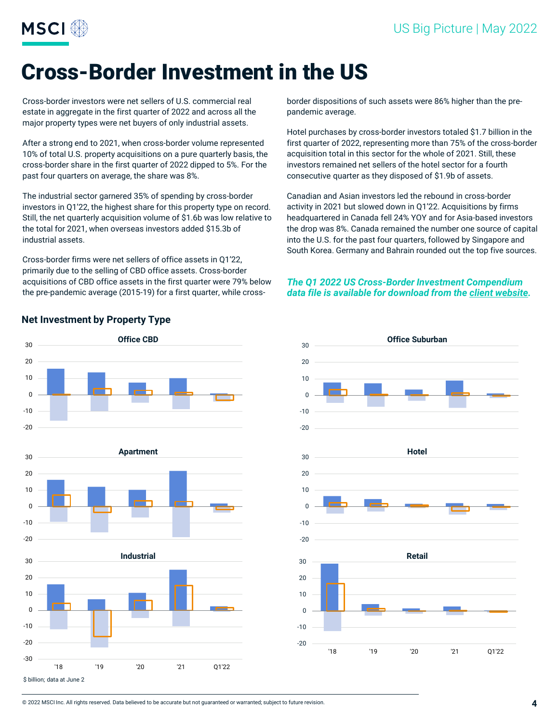

# Cross-Border Investment in the US

Cross-border investors were net sellers of U.S. commercial real estate in aggregate in the first quarter of 2022 and across all the major property types were net buyers of only industrial assets.

After a strong end to 2021, when cross-border volume represented 10% of total U.S. property acquisitions on a pure quarterly basis, the cross-border share in the first quarter of 2022 dipped to 5%. For the past four quarters on average, the share was 8%.

The industrial sector garnered 35% of spending by cross-border investors in Q1'22, the highest share for this property type on record. Still, the net quarterly acquisition volume of \$1.6b was low relative to the total for 2021, when overseas investors added \$15.3b of industrial assets.

Cross-border firms were net sellers of office assets in Q1'22, primarily due to the selling of CBD office assets. Cross-border acquisitions of CBD office assets in the first quarter were 79% below the pre-pandemic average (2015-19) for a first quarter, while crossborder dispositions of such assets were 86% higher than the prepandemic average.

Hotel purchases by cross-border investors totaled \$1.7 billion in the first quarter of 2022, representing more than 75% of the cross-border acquisition total in this sector for the whole of 2021. Still, these investors remained net sellers of the hotel sector for a fourth consecutive quarter as they disposed of \$1.9b of assets.

Canadian and Asian investors led the rebound in cross-border activity in 2021 but slowed down in Q1'22. Acquisitions by firms headquartered in Canada fell 24% YOY and for Asia-based investors the drop was 8%. Canada remained the number one source of capital into the U.S. for the past four quarters, followed by Singapore and South Korea. Germany and Bahrain rounded out the top five sources.

#### *The Q1 2022 US Cross-Border Investment Compendium data file is available for download from the [client website.](https://app.rcanalytics.com/#/trends/reports)*





### **Net Investment by Property Type**